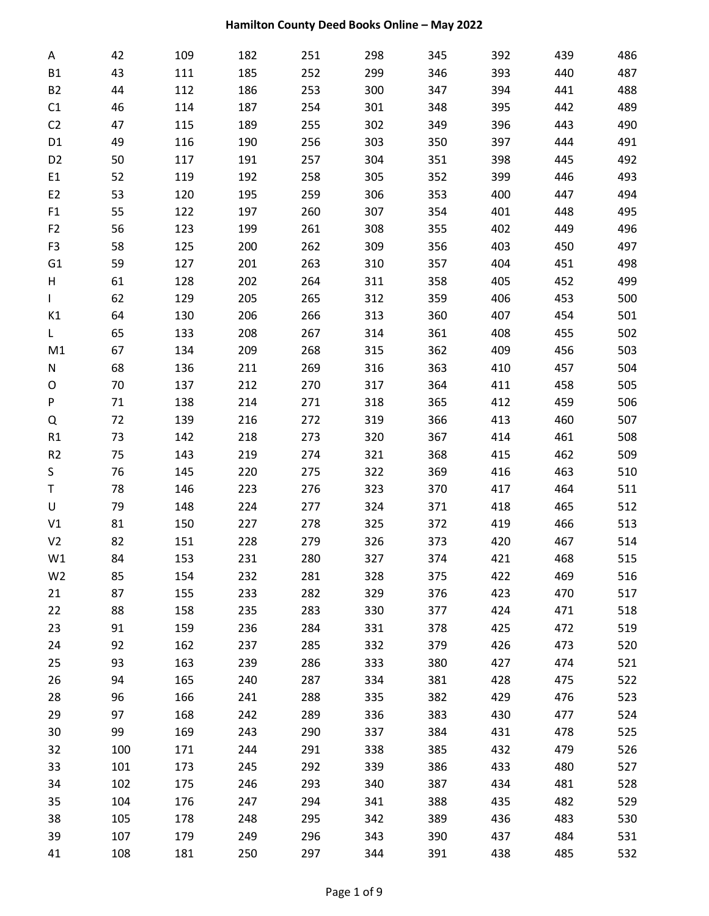| Α              | 42  | 109 | 182 | 251 | 298 | 345 | 392 | 439 | 486 |
|----------------|-----|-----|-----|-----|-----|-----|-----|-----|-----|
| <b>B1</b>      | 43  | 111 | 185 | 252 | 299 | 346 | 393 | 440 | 487 |
| <b>B2</b>      | 44  | 112 | 186 | 253 | 300 | 347 | 394 | 441 | 488 |
| C1             | 46  | 114 | 187 | 254 | 301 | 348 | 395 | 442 | 489 |
| C <sub>2</sub> | 47  | 115 | 189 | 255 | 302 | 349 | 396 | 443 | 490 |
| D1             | 49  | 116 | 190 | 256 | 303 | 350 | 397 | 444 | 491 |
| D <sub>2</sub> | 50  | 117 | 191 | 257 | 304 | 351 | 398 | 445 | 492 |
| E1             | 52  | 119 | 192 | 258 | 305 | 352 | 399 | 446 | 493 |
| E <sub>2</sub> | 53  | 120 | 195 | 259 | 306 | 353 | 400 | 447 | 494 |
| F1             | 55  | 122 | 197 | 260 | 307 | 354 | 401 | 448 | 495 |
| F <sub>2</sub> | 56  | 123 | 199 | 261 | 308 | 355 | 402 | 449 | 496 |
| F <sub>3</sub> | 58  | 125 | 200 | 262 | 309 | 356 | 403 | 450 | 497 |
| G <sub>1</sub> | 59  | 127 | 201 | 263 | 310 | 357 | 404 | 451 | 498 |
| Н              | 61  | 128 | 202 | 264 | 311 | 358 | 405 | 452 | 499 |
| $\mathbf{L}$   | 62  | 129 | 205 | 265 | 312 | 359 | 406 | 453 | 500 |
| K1             | 64  | 130 | 206 | 266 | 313 | 360 | 407 | 454 | 501 |
| L              | 65  | 133 | 208 | 267 | 314 | 361 | 408 | 455 | 502 |
| M1             | 67  | 134 | 209 | 268 | 315 | 362 | 409 | 456 | 503 |
| N              | 68  | 136 | 211 | 269 | 316 | 363 | 410 | 457 | 504 |
| O              | 70  | 137 | 212 | 270 | 317 | 364 | 411 | 458 | 505 |
| P              | 71  | 138 | 214 | 271 | 318 | 365 | 412 | 459 | 506 |
| Q              | 72  | 139 | 216 | 272 | 319 | 366 | 413 | 460 | 507 |
| R1             | 73  | 142 | 218 | 273 | 320 | 367 | 414 | 461 | 508 |
| R <sub>2</sub> | 75  | 143 | 219 | 274 | 321 | 368 | 415 | 462 | 509 |
| S              | 76  | 145 | 220 | 275 | 322 | 369 | 416 | 463 | 510 |
| T              | 78  | 146 | 223 | 276 | 323 | 370 | 417 | 464 | 511 |
| U              | 79  | 148 | 224 | 277 | 324 | 371 | 418 | 465 | 512 |
| $\verb V1 $    | 81  | 150 | 227 | 278 | 325 | 372 | 419 | 466 | 513 |
| V <sub>2</sub> | 82  | 151 | 228 | 279 | 326 | 373 | 420 | 467 | 514 |
| W1             | 84  | 153 | 231 | 280 | 327 | 374 | 421 | 468 | 515 |
| W <sub>2</sub> | 85  | 154 | 232 | 281 | 328 | 375 | 422 | 469 | 516 |
| 21             | 87  | 155 | 233 | 282 | 329 | 376 | 423 | 470 | 517 |
| 22             | 88  | 158 | 235 | 283 | 330 | 377 | 424 | 471 | 518 |
| 23             | 91  | 159 | 236 | 284 | 331 | 378 | 425 | 472 | 519 |
| 24             | 92  | 162 | 237 | 285 | 332 | 379 | 426 | 473 | 520 |
| 25             | 93  | 163 | 239 | 286 | 333 | 380 | 427 | 474 | 521 |
| 26             | 94  | 165 | 240 | 287 | 334 | 381 | 428 | 475 | 522 |
| 28             | 96  | 166 | 241 | 288 | 335 | 382 | 429 | 476 | 523 |
| 29             | 97  | 168 | 242 | 289 | 336 | 383 | 430 | 477 | 524 |
| 30             | 99  | 169 | 243 | 290 | 337 | 384 | 431 | 478 | 525 |
| 32             | 100 | 171 | 244 | 291 | 338 | 385 | 432 | 479 | 526 |
| 33             | 101 | 173 | 245 | 292 | 339 | 386 | 433 | 480 | 527 |
| 34             | 102 | 175 | 246 | 293 | 340 | 387 | 434 | 481 | 528 |
| 35             | 104 | 176 | 247 | 294 | 341 | 388 | 435 | 482 | 529 |
| 38             | 105 | 178 | 248 | 295 | 342 | 389 | 436 | 483 | 530 |
| 39             | 107 | 179 | 249 | 296 | 343 | 390 | 437 | 484 | 531 |
| 41             | 108 | 181 | 250 | 297 | 344 | 391 | 438 | 485 | 532 |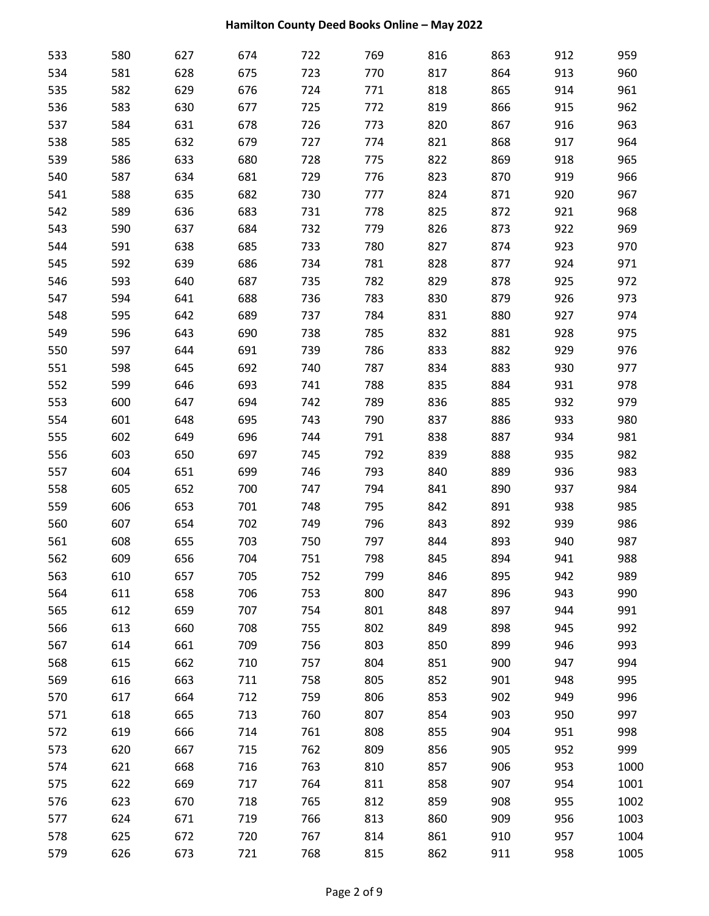| 533 | 580 | 627 | 674 | 722 | 769 | 816 | 863 | 912 | 959  |
|-----|-----|-----|-----|-----|-----|-----|-----|-----|------|
| 534 | 581 | 628 | 675 | 723 | 770 | 817 | 864 | 913 | 960  |
| 535 | 582 | 629 | 676 | 724 | 771 | 818 | 865 | 914 | 961  |
| 536 | 583 | 630 | 677 | 725 | 772 | 819 | 866 | 915 | 962  |
| 537 | 584 | 631 | 678 | 726 | 773 | 820 | 867 | 916 | 963  |
| 538 | 585 | 632 | 679 | 727 | 774 | 821 | 868 | 917 | 964  |
| 539 | 586 | 633 | 680 | 728 | 775 | 822 | 869 | 918 | 965  |
| 540 | 587 | 634 | 681 | 729 | 776 | 823 | 870 | 919 | 966  |
| 541 | 588 | 635 | 682 | 730 | 777 | 824 | 871 | 920 | 967  |
| 542 | 589 | 636 | 683 | 731 | 778 | 825 | 872 | 921 | 968  |
| 543 | 590 | 637 | 684 | 732 | 779 | 826 | 873 | 922 | 969  |
| 544 | 591 | 638 | 685 | 733 | 780 | 827 | 874 | 923 | 970  |
| 545 | 592 | 639 | 686 | 734 | 781 | 828 | 877 | 924 | 971  |
| 546 | 593 | 640 | 687 | 735 | 782 | 829 | 878 | 925 | 972  |
| 547 | 594 | 641 | 688 | 736 | 783 | 830 | 879 | 926 | 973  |
| 548 | 595 | 642 | 689 | 737 | 784 | 831 | 880 | 927 | 974  |
| 549 | 596 | 643 | 690 | 738 | 785 | 832 | 881 | 928 | 975  |
| 550 | 597 | 644 | 691 | 739 | 786 | 833 | 882 | 929 | 976  |
| 551 | 598 | 645 | 692 | 740 | 787 | 834 | 883 | 930 | 977  |
| 552 | 599 | 646 | 693 | 741 | 788 | 835 | 884 | 931 | 978  |
| 553 | 600 | 647 | 694 | 742 | 789 | 836 | 885 | 932 | 979  |
| 554 | 601 | 648 | 695 | 743 | 790 | 837 | 886 | 933 | 980  |
| 555 | 602 | 649 | 696 | 744 | 791 | 838 | 887 | 934 | 981  |
| 556 | 603 | 650 | 697 | 745 | 792 | 839 | 888 | 935 | 982  |
| 557 | 604 | 651 | 699 | 746 | 793 | 840 | 889 | 936 | 983  |
| 558 | 605 | 652 | 700 | 747 | 794 | 841 | 890 | 937 | 984  |
| 559 | 606 | 653 | 701 | 748 | 795 | 842 | 891 | 938 | 985  |
| 560 | 607 | 654 | 702 | 749 | 796 | 843 | 892 | 939 | 986  |
| 561 | 608 | 655 | 703 | 750 | 797 | 844 | 893 | 940 | 987  |
| 562 | 609 | 656 | 704 | 751 | 798 | 845 | 894 | 941 | 988  |
| 563 | 610 | 657 | 705 | 752 | 799 | 846 | 895 | 942 | 989  |
| 564 | 611 | 658 | 706 | 753 | 800 | 847 | 896 | 943 | 990  |
| 565 | 612 | 659 | 707 | 754 | 801 | 848 | 897 | 944 | 991  |
| 566 | 613 | 660 | 708 | 755 | 802 | 849 | 898 | 945 | 992  |
| 567 | 614 | 661 | 709 | 756 | 803 | 850 | 899 | 946 | 993  |
| 568 | 615 | 662 | 710 | 757 | 804 | 851 | 900 | 947 | 994  |
| 569 | 616 | 663 | 711 | 758 | 805 | 852 | 901 | 948 | 995  |
| 570 | 617 | 664 | 712 | 759 | 806 | 853 | 902 | 949 | 996  |
| 571 | 618 | 665 | 713 | 760 | 807 | 854 | 903 | 950 | 997  |
| 572 | 619 | 666 | 714 | 761 | 808 | 855 | 904 | 951 | 998  |
| 573 | 620 | 667 | 715 | 762 | 809 | 856 | 905 | 952 | 999  |
| 574 | 621 | 668 | 716 | 763 | 810 | 857 | 906 | 953 | 1000 |
| 575 | 622 | 669 | 717 | 764 | 811 | 858 | 907 | 954 | 1001 |
| 576 | 623 | 670 | 718 | 765 | 812 | 859 | 908 | 955 | 1002 |
| 577 | 624 | 671 | 719 | 766 | 813 | 860 | 909 | 956 | 1003 |
| 578 | 625 | 672 | 720 | 767 | 814 | 861 | 910 | 957 | 1004 |
| 579 | 626 | 673 | 721 | 768 | 815 | 862 | 911 | 958 | 1005 |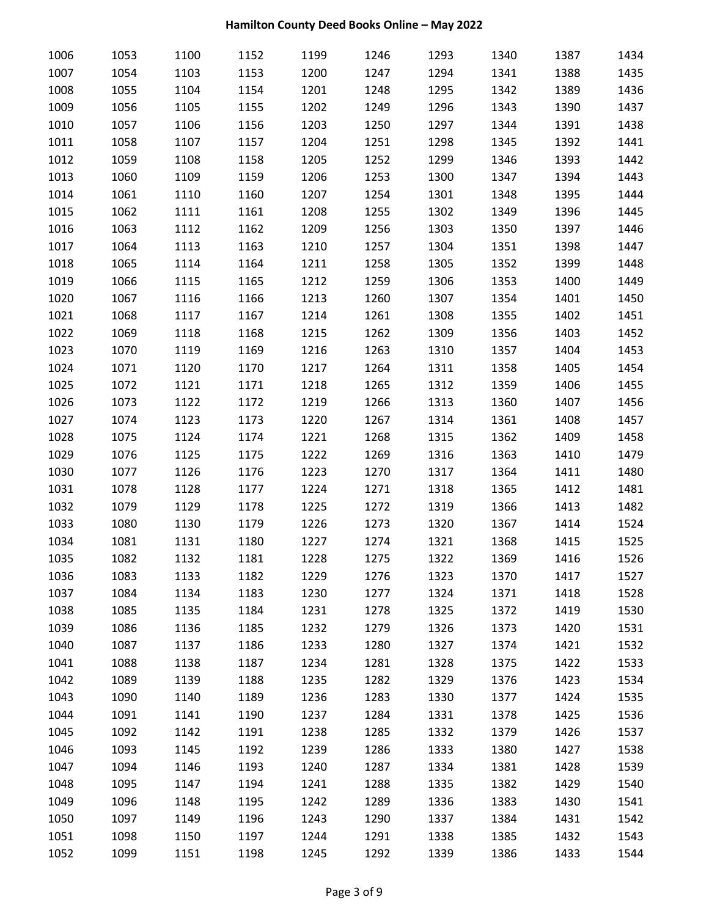| 1006 | 1053 | 1100 | 1152 | 1199 | 1246 | 1293 | 1340 | 1387 | 1434 |
|------|------|------|------|------|------|------|------|------|------|
| 1007 | 1054 | 1103 | 1153 | 1200 | 1247 | 1294 | 1341 | 1388 | 1435 |
| 1008 | 1055 | 1104 | 1154 | 1201 | 1248 | 1295 | 1342 | 1389 | 1436 |
| 1009 | 1056 | 1105 | 1155 | 1202 | 1249 | 1296 | 1343 | 1390 | 1437 |
| 1010 | 1057 | 1106 | 1156 | 1203 | 1250 | 1297 | 1344 | 1391 | 1438 |
| 1011 | 1058 | 1107 | 1157 | 1204 | 1251 | 1298 | 1345 | 1392 | 1441 |
| 1012 | 1059 | 1108 | 1158 | 1205 | 1252 | 1299 | 1346 | 1393 | 1442 |
| 1013 | 1060 | 1109 | 1159 | 1206 | 1253 | 1300 | 1347 | 1394 | 1443 |
| 1014 | 1061 | 1110 | 1160 | 1207 | 1254 | 1301 | 1348 | 1395 | 1444 |
| 1015 | 1062 | 1111 | 1161 | 1208 | 1255 | 1302 | 1349 | 1396 | 1445 |
| 1016 | 1063 | 1112 | 1162 | 1209 | 1256 | 1303 | 1350 | 1397 | 1446 |
| 1017 | 1064 | 1113 | 1163 | 1210 | 1257 | 1304 | 1351 | 1398 | 1447 |
| 1018 | 1065 | 1114 | 1164 | 1211 | 1258 | 1305 | 1352 | 1399 | 1448 |
| 1019 | 1066 | 1115 | 1165 | 1212 | 1259 | 1306 | 1353 | 1400 | 1449 |
| 1020 | 1067 | 1116 | 1166 | 1213 | 1260 | 1307 | 1354 | 1401 | 1450 |
| 1021 | 1068 | 1117 | 1167 | 1214 | 1261 | 1308 | 1355 | 1402 | 1451 |
| 1022 | 1069 | 1118 | 1168 | 1215 | 1262 | 1309 | 1356 | 1403 | 1452 |
| 1023 | 1070 | 1119 | 1169 | 1216 | 1263 | 1310 | 1357 | 1404 | 1453 |
| 1024 | 1071 | 1120 | 1170 | 1217 | 1264 | 1311 | 1358 | 1405 | 1454 |
| 1025 | 1072 | 1121 | 1171 | 1218 | 1265 | 1312 | 1359 | 1406 | 1455 |
| 1026 | 1073 | 1122 | 1172 | 1219 | 1266 | 1313 | 1360 | 1407 | 1456 |
| 1027 | 1074 | 1123 | 1173 | 1220 | 1267 | 1314 | 1361 | 1408 | 1457 |
| 1028 | 1075 | 1124 | 1174 | 1221 | 1268 | 1315 | 1362 | 1409 | 1458 |
| 1029 | 1076 | 1125 | 1175 | 1222 | 1269 | 1316 | 1363 | 1410 | 1479 |
| 1030 | 1077 | 1126 | 1176 | 1223 | 1270 | 1317 | 1364 | 1411 | 1480 |
| 1031 | 1078 | 1128 | 1177 | 1224 | 1271 | 1318 | 1365 | 1412 | 1481 |
| 1032 | 1079 | 1129 | 1178 | 1225 | 1272 | 1319 | 1366 | 1413 | 1482 |
| 1033 | 1080 | 1130 | 1179 | 1226 | 1273 | 1320 | 1367 | 1414 | 1524 |
| 1034 | 1081 | 1131 | 1180 | 1227 | 1274 | 1321 | 1368 | 1415 | 1525 |
| 1035 | 1082 | 1132 | 1181 | 1228 | 1275 | 1322 | 1369 | 1416 | 1526 |
| 1036 | 1083 | 1133 | 1182 | 1229 | 1276 | 1323 | 1370 | 1417 | 1527 |
| 1037 | 1084 | 1134 | 1183 | 1230 | 1277 | 1324 | 1371 | 1418 | 1528 |
| 1038 | 1085 | 1135 | 1184 | 1231 | 1278 | 1325 | 1372 | 1419 | 1530 |
| 1039 | 1086 | 1136 | 1185 | 1232 | 1279 | 1326 | 1373 | 1420 | 1531 |
| 1040 | 1087 | 1137 | 1186 | 1233 | 1280 | 1327 | 1374 | 1421 | 1532 |
| 1041 | 1088 | 1138 | 1187 | 1234 | 1281 | 1328 | 1375 | 1422 | 1533 |
| 1042 | 1089 | 1139 | 1188 | 1235 | 1282 | 1329 | 1376 | 1423 | 1534 |
| 1043 | 1090 | 1140 | 1189 | 1236 | 1283 | 1330 | 1377 | 1424 | 1535 |
| 1044 | 1091 | 1141 | 1190 | 1237 | 1284 | 1331 | 1378 | 1425 | 1536 |
| 1045 | 1092 | 1142 | 1191 | 1238 | 1285 | 1332 | 1379 | 1426 | 1537 |
| 1046 | 1093 | 1145 | 1192 | 1239 | 1286 | 1333 | 1380 | 1427 | 1538 |
| 1047 | 1094 | 1146 | 1193 | 1240 | 1287 | 1334 | 1381 | 1428 | 1539 |
| 1048 | 1095 | 1147 | 1194 | 1241 | 1288 | 1335 | 1382 | 1429 | 1540 |
| 1049 | 1096 | 1148 | 1195 | 1242 | 1289 | 1336 | 1383 | 1430 | 1541 |
| 1050 | 1097 | 1149 | 1196 | 1243 | 1290 | 1337 | 1384 | 1431 | 1542 |
| 1051 | 1098 | 1150 | 1197 | 1244 | 1291 | 1338 | 1385 | 1432 | 1543 |
| 1052 | 1099 | 1151 | 1198 | 1245 | 1292 | 1339 | 1386 | 1433 | 1544 |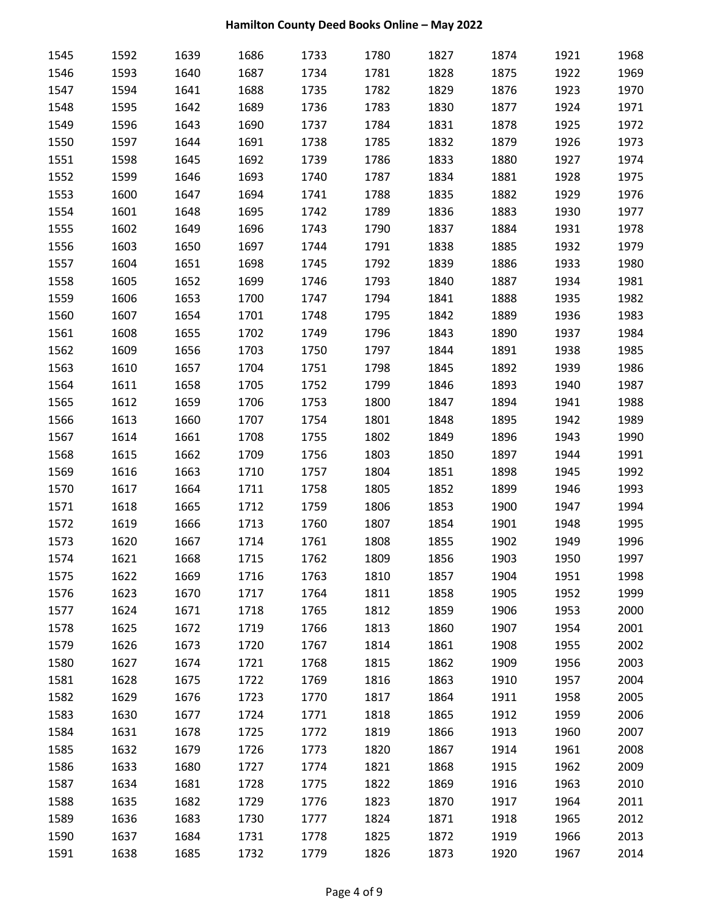| 1545 | 1592 | 1639 | 1686 | 1733 | 1780 | 1827 | 1874 | 1921 | 1968 |
|------|------|------|------|------|------|------|------|------|------|
| 1546 | 1593 | 1640 | 1687 | 1734 | 1781 | 1828 | 1875 | 1922 | 1969 |
| 1547 | 1594 | 1641 | 1688 | 1735 | 1782 | 1829 | 1876 | 1923 | 1970 |
| 1548 | 1595 | 1642 | 1689 | 1736 | 1783 | 1830 | 1877 | 1924 | 1971 |
| 1549 | 1596 | 1643 | 1690 | 1737 | 1784 | 1831 | 1878 | 1925 | 1972 |
| 1550 | 1597 | 1644 | 1691 | 1738 | 1785 | 1832 | 1879 | 1926 | 1973 |
| 1551 | 1598 | 1645 | 1692 | 1739 | 1786 | 1833 | 1880 | 1927 | 1974 |
| 1552 | 1599 | 1646 | 1693 | 1740 | 1787 | 1834 | 1881 | 1928 | 1975 |
| 1553 | 1600 | 1647 | 1694 | 1741 | 1788 | 1835 | 1882 | 1929 | 1976 |
| 1554 | 1601 | 1648 | 1695 | 1742 | 1789 | 1836 | 1883 | 1930 | 1977 |
| 1555 | 1602 | 1649 | 1696 | 1743 | 1790 | 1837 | 1884 | 1931 | 1978 |
| 1556 | 1603 | 1650 | 1697 | 1744 | 1791 | 1838 | 1885 | 1932 | 1979 |
| 1557 | 1604 | 1651 | 1698 | 1745 | 1792 | 1839 | 1886 | 1933 | 1980 |
| 1558 | 1605 | 1652 | 1699 | 1746 | 1793 | 1840 | 1887 | 1934 | 1981 |
| 1559 | 1606 | 1653 | 1700 | 1747 | 1794 | 1841 | 1888 | 1935 | 1982 |
| 1560 | 1607 | 1654 | 1701 | 1748 | 1795 | 1842 | 1889 | 1936 | 1983 |
| 1561 | 1608 | 1655 | 1702 | 1749 | 1796 | 1843 | 1890 | 1937 | 1984 |
| 1562 | 1609 | 1656 | 1703 | 1750 | 1797 | 1844 | 1891 | 1938 | 1985 |
| 1563 | 1610 | 1657 | 1704 | 1751 | 1798 | 1845 | 1892 | 1939 | 1986 |
| 1564 | 1611 | 1658 | 1705 | 1752 | 1799 | 1846 | 1893 | 1940 | 1987 |
| 1565 | 1612 | 1659 | 1706 | 1753 | 1800 | 1847 | 1894 | 1941 | 1988 |
| 1566 | 1613 | 1660 | 1707 | 1754 | 1801 | 1848 | 1895 | 1942 | 1989 |
| 1567 | 1614 | 1661 | 1708 | 1755 | 1802 | 1849 | 1896 | 1943 | 1990 |
| 1568 | 1615 | 1662 | 1709 | 1756 | 1803 | 1850 | 1897 | 1944 | 1991 |
| 1569 | 1616 | 1663 | 1710 | 1757 | 1804 | 1851 | 1898 | 1945 | 1992 |
| 1570 | 1617 | 1664 | 1711 | 1758 | 1805 | 1852 | 1899 | 1946 | 1993 |
| 1571 | 1618 | 1665 | 1712 | 1759 | 1806 | 1853 | 1900 | 1947 | 1994 |
| 1572 | 1619 | 1666 | 1713 | 1760 | 1807 | 1854 | 1901 | 1948 | 1995 |
| 1573 | 1620 | 1667 | 1714 | 1761 | 1808 | 1855 | 1902 | 1949 | 1996 |
| 1574 | 1621 | 1668 | 1715 | 1762 | 1809 | 1856 | 1903 | 1950 | 1997 |
| 1575 | 1622 | 1669 | 1716 | 1763 | 1810 | 1857 | 1904 | 1951 | 1998 |
| 1576 | 1623 | 1670 | 1717 | 1764 | 1811 | 1858 | 1905 | 1952 | 1999 |
| 1577 | 1624 | 1671 | 1718 | 1765 | 1812 | 1859 | 1906 | 1953 | 2000 |
| 1578 | 1625 | 1672 | 1719 | 1766 | 1813 | 1860 | 1907 | 1954 | 2001 |
| 1579 | 1626 | 1673 | 1720 | 1767 | 1814 | 1861 | 1908 | 1955 | 2002 |
| 1580 | 1627 | 1674 | 1721 | 1768 | 1815 | 1862 | 1909 | 1956 | 2003 |
| 1581 | 1628 | 1675 | 1722 | 1769 | 1816 | 1863 | 1910 | 1957 | 2004 |
| 1582 | 1629 | 1676 | 1723 | 1770 | 1817 | 1864 | 1911 | 1958 | 2005 |
| 1583 | 1630 | 1677 | 1724 | 1771 | 1818 | 1865 | 1912 | 1959 | 2006 |
| 1584 | 1631 | 1678 | 1725 | 1772 | 1819 | 1866 | 1913 | 1960 | 2007 |
| 1585 | 1632 | 1679 | 1726 | 1773 | 1820 | 1867 | 1914 | 1961 | 2008 |
| 1586 | 1633 | 1680 | 1727 | 1774 | 1821 | 1868 | 1915 | 1962 | 2009 |
| 1587 | 1634 | 1681 | 1728 | 1775 | 1822 | 1869 | 1916 | 1963 | 2010 |
| 1588 | 1635 | 1682 | 1729 | 1776 | 1823 | 1870 | 1917 | 1964 | 2011 |
| 1589 | 1636 | 1683 | 1730 | 1777 | 1824 | 1871 | 1918 | 1965 | 2012 |
| 1590 | 1637 | 1684 | 1731 | 1778 | 1825 | 1872 | 1919 | 1966 | 2013 |
| 1591 | 1638 | 1685 | 1732 | 1779 | 1826 | 1873 | 1920 | 1967 | 2014 |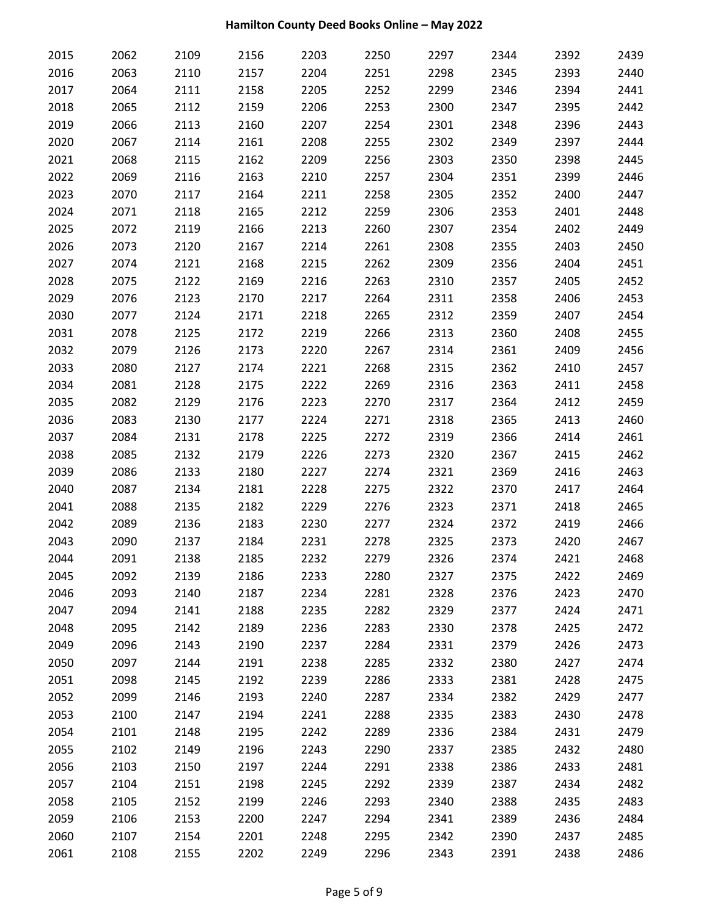| 2015 | 2062 | 2109 | 2156 | 2203 | 2250 | 2297 | 2344 | 2392 | 2439 |
|------|------|------|------|------|------|------|------|------|------|
| 2016 | 2063 | 2110 | 2157 | 2204 | 2251 | 2298 | 2345 | 2393 | 2440 |
| 2017 | 2064 | 2111 | 2158 | 2205 | 2252 | 2299 | 2346 | 2394 | 2441 |
| 2018 | 2065 | 2112 | 2159 | 2206 | 2253 | 2300 | 2347 | 2395 | 2442 |
| 2019 | 2066 | 2113 | 2160 | 2207 | 2254 | 2301 | 2348 | 2396 | 2443 |
| 2020 | 2067 | 2114 | 2161 | 2208 | 2255 | 2302 | 2349 | 2397 | 2444 |
| 2021 | 2068 | 2115 | 2162 | 2209 | 2256 | 2303 | 2350 | 2398 | 2445 |
| 2022 | 2069 | 2116 | 2163 | 2210 | 2257 | 2304 | 2351 | 2399 | 2446 |
| 2023 | 2070 | 2117 | 2164 | 2211 | 2258 | 2305 | 2352 | 2400 | 2447 |
| 2024 | 2071 | 2118 | 2165 | 2212 | 2259 | 2306 | 2353 | 2401 | 2448 |
| 2025 | 2072 | 2119 | 2166 | 2213 | 2260 | 2307 | 2354 | 2402 | 2449 |
| 2026 | 2073 | 2120 | 2167 | 2214 | 2261 | 2308 | 2355 | 2403 | 2450 |
| 2027 | 2074 | 2121 | 2168 | 2215 | 2262 | 2309 | 2356 | 2404 | 2451 |
| 2028 | 2075 | 2122 | 2169 | 2216 | 2263 | 2310 | 2357 | 2405 | 2452 |
| 2029 | 2076 | 2123 | 2170 | 2217 | 2264 | 2311 | 2358 | 2406 | 2453 |
| 2030 | 2077 | 2124 | 2171 | 2218 | 2265 | 2312 | 2359 | 2407 | 2454 |
| 2031 | 2078 | 2125 | 2172 | 2219 | 2266 | 2313 | 2360 | 2408 | 2455 |
| 2032 | 2079 | 2126 | 2173 | 2220 | 2267 | 2314 | 2361 | 2409 | 2456 |
| 2033 | 2080 | 2127 | 2174 | 2221 | 2268 | 2315 | 2362 | 2410 | 2457 |
| 2034 | 2081 | 2128 | 2175 | 2222 | 2269 | 2316 | 2363 | 2411 | 2458 |
| 2035 | 2082 | 2129 | 2176 | 2223 | 2270 | 2317 | 2364 | 2412 | 2459 |
| 2036 | 2083 | 2130 | 2177 | 2224 | 2271 | 2318 | 2365 | 2413 | 2460 |
| 2037 | 2084 | 2131 | 2178 | 2225 | 2272 | 2319 | 2366 | 2414 | 2461 |
| 2038 | 2085 | 2132 | 2179 | 2226 | 2273 | 2320 | 2367 | 2415 | 2462 |
| 2039 | 2086 | 2133 | 2180 | 2227 | 2274 | 2321 | 2369 | 2416 | 2463 |
| 2040 | 2087 | 2134 | 2181 | 2228 | 2275 | 2322 | 2370 | 2417 | 2464 |
| 2041 | 2088 | 2135 | 2182 | 2229 | 2276 | 2323 | 2371 | 2418 | 2465 |
| 2042 | 2089 | 2136 | 2183 | 2230 | 2277 | 2324 | 2372 | 2419 | 2466 |
| 2043 | 2090 | 2137 | 2184 | 2231 | 2278 | 2325 | 2373 | 2420 | 2467 |
| 2044 | 2091 | 2138 | 2185 | 2232 | 2279 | 2326 | 2374 | 2421 | 2468 |
| 2045 | 2092 | 2139 | 2186 | 2233 | 2280 | 2327 | 2375 | 2422 | 2469 |
| 2046 | 2093 | 2140 | 2187 | 2234 | 2281 | 2328 | 2376 | 2423 | 2470 |
| 2047 | 2094 | 2141 | 2188 | 2235 | 2282 | 2329 | 2377 | 2424 | 2471 |
| 2048 | 2095 | 2142 | 2189 | 2236 | 2283 | 2330 | 2378 | 2425 | 2472 |
| 2049 | 2096 | 2143 | 2190 | 2237 | 2284 | 2331 | 2379 | 2426 | 2473 |
| 2050 | 2097 | 2144 | 2191 | 2238 | 2285 | 2332 | 2380 | 2427 | 2474 |
| 2051 | 2098 | 2145 | 2192 | 2239 | 2286 | 2333 | 2381 | 2428 | 2475 |
| 2052 | 2099 | 2146 | 2193 | 2240 | 2287 | 2334 | 2382 | 2429 | 2477 |
| 2053 | 2100 | 2147 | 2194 | 2241 | 2288 | 2335 | 2383 | 2430 | 2478 |
| 2054 | 2101 | 2148 | 2195 | 2242 | 2289 | 2336 | 2384 | 2431 | 2479 |
| 2055 | 2102 | 2149 | 2196 | 2243 | 2290 | 2337 | 2385 | 2432 | 2480 |
| 2056 | 2103 | 2150 | 2197 | 2244 | 2291 | 2338 | 2386 | 2433 | 2481 |
| 2057 | 2104 | 2151 | 2198 | 2245 | 2292 | 2339 | 2387 | 2434 | 2482 |
| 2058 | 2105 | 2152 | 2199 | 2246 | 2293 | 2340 | 2388 | 2435 | 2483 |
| 2059 | 2106 | 2153 | 2200 | 2247 | 2294 | 2341 | 2389 | 2436 | 2484 |
| 2060 | 2107 | 2154 | 2201 | 2248 | 2295 | 2342 | 2390 | 2437 | 2485 |
| 2061 | 2108 | 2155 | 2202 | 2249 | 2296 | 2343 | 2391 | 2438 | 2486 |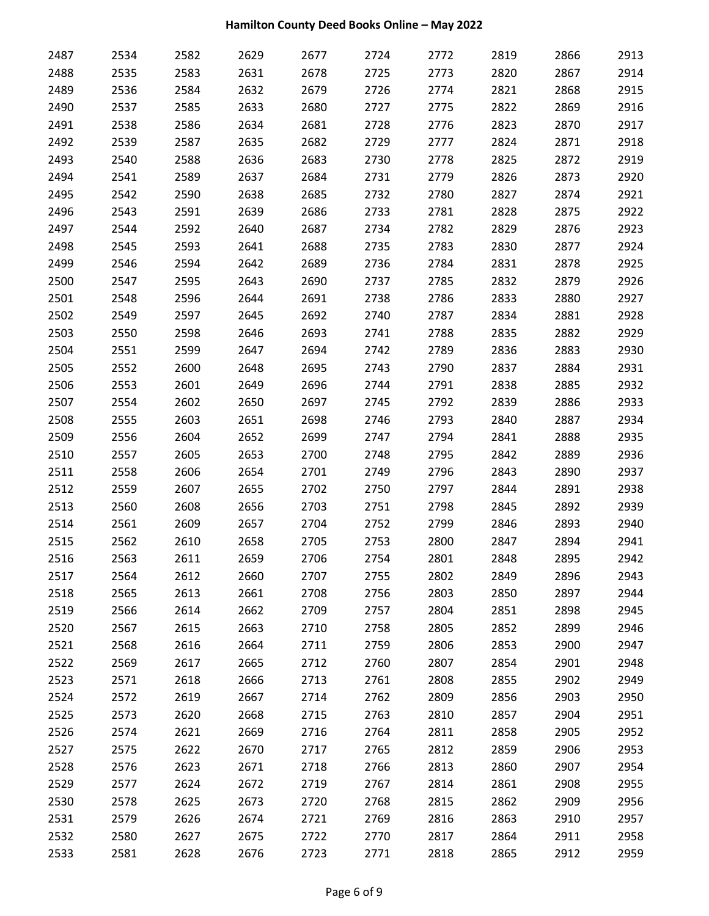| 2487 | 2534 | 2582 | 2629 | 2677 | 2724 | 2772 | 2819 | 2866 | 2913 |
|------|------|------|------|------|------|------|------|------|------|
| 2488 | 2535 | 2583 | 2631 | 2678 | 2725 | 2773 | 2820 | 2867 | 2914 |
| 2489 | 2536 | 2584 | 2632 | 2679 | 2726 | 2774 | 2821 | 2868 | 2915 |
| 2490 | 2537 | 2585 | 2633 | 2680 | 2727 | 2775 | 2822 | 2869 | 2916 |
| 2491 | 2538 | 2586 | 2634 | 2681 | 2728 | 2776 | 2823 | 2870 | 2917 |
| 2492 | 2539 | 2587 | 2635 | 2682 | 2729 | 2777 | 2824 | 2871 | 2918 |
| 2493 | 2540 | 2588 | 2636 | 2683 | 2730 | 2778 | 2825 | 2872 | 2919 |
| 2494 | 2541 | 2589 | 2637 | 2684 | 2731 | 2779 | 2826 | 2873 | 2920 |
| 2495 | 2542 | 2590 | 2638 | 2685 | 2732 | 2780 | 2827 | 2874 | 2921 |
| 2496 | 2543 | 2591 | 2639 | 2686 | 2733 | 2781 | 2828 | 2875 | 2922 |
| 2497 | 2544 | 2592 | 2640 | 2687 | 2734 | 2782 | 2829 | 2876 | 2923 |
| 2498 | 2545 | 2593 | 2641 | 2688 | 2735 | 2783 | 2830 | 2877 | 2924 |
| 2499 | 2546 | 2594 | 2642 | 2689 | 2736 | 2784 | 2831 | 2878 | 2925 |
| 2500 | 2547 | 2595 | 2643 | 2690 | 2737 | 2785 | 2832 | 2879 | 2926 |
| 2501 | 2548 | 2596 | 2644 | 2691 | 2738 | 2786 | 2833 | 2880 | 2927 |
| 2502 | 2549 | 2597 | 2645 | 2692 | 2740 | 2787 | 2834 | 2881 | 2928 |
| 2503 | 2550 | 2598 | 2646 | 2693 | 2741 | 2788 | 2835 | 2882 | 2929 |
| 2504 | 2551 | 2599 | 2647 | 2694 | 2742 | 2789 | 2836 | 2883 | 2930 |
| 2505 | 2552 | 2600 | 2648 | 2695 | 2743 | 2790 | 2837 | 2884 | 2931 |
| 2506 | 2553 | 2601 | 2649 | 2696 | 2744 | 2791 | 2838 | 2885 | 2932 |
| 2507 | 2554 | 2602 | 2650 | 2697 | 2745 | 2792 | 2839 | 2886 | 2933 |
| 2508 | 2555 | 2603 | 2651 | 2698 | 2746 | 2793 | 2840 | 2887 | 2934 |
| 2509 | 2556 | 2604 | 2652 | 2699 | 2747 | 2794 | 2841 | 2888 | 2935 |
| 2510 | 2557 | 2605 | 2653 | 2700 | 2748 | 2795 | 2842 | 2889 | 2936 |
| 2511 | 2558 | 2606 | 2654 | 2701 | 2749 | 2796 | 2843 | 2890 | 2937 |
| 2512 | 2559 | 2607 | 2655 | 2702 | 2750 | 2797 | 2844 | 2891 | 2938 |
| 2513 | 2560 | 2608 | 2656 | 2703 | 2751 | 2798 | 2845 | 2892 | 2939 |
| 2514 | 2561 | 2609 | 2657 | 2704 | 2752 | 2799 | 2846 | 2893 | 2940 |
| 2515 | 2562 | 2610 | 2658 | 2705 | 2753 | 2800 | 2847 | 2894 | 2941 |
| 2516 | 2563 | 2611 | 2659 | 2706 | 2754 | 2801 | 2848 | 2895 | 2942 |
| 2517 | 2564 | 2612 | 2660 | 2707 | 2755 | 2802 | 2849 | 2896 | 2943 |
| 2518 | 2565 | 2613 | 2661 | 2708 | 2756 | 2803 | 2850 | 2897 | 2944 |
| 2519 | 2566 | 2614 | 2662 | 2709 | 2757 | 2804 | 2851 | 2898 | 2945 |
| 2520 | 2567 | 2615 | 2663 | 2710 | 2758 | 2805 | 2852 | 2899 | 2946 |
| 2521 | 2568 | 2616 | 2664 | 2711 | 2759 | 2806 | 2853 | 2900 | 2947 |
| 2522 | 2569 | 2617 | 2665 | 2712 | 2760 | 2807 | 2854 | 2901 | 2948 |
| 2523 | 2571 | 2618 | 2666 | 2713 | 2761 | 2808 | 2855 | 2902 | 2949 |
| 2524 | 2572 | 2619 | 2667 | 2714 | 2762 | 2809 | 2856 | 2903 | 2950 |
| 2525 | 2573 | 2620 | 2668 | 2715 | 2763 | 2810 | 2857 | 2904 | 2951 |
| 2526 | 2574 | 2621 | 2669 | 2716 | 2764 | 2811 | 2858 | 2905 | 2952 |
| 2527 | 2575 | 2622 | 2670 | 2717 | 2765 | 2812 | 2859 | 2906 | 2953 |
| 2528 | 2576 | 2623 | 2671 | 2718 | 2766 | 2813 | 2860 | 2907 | 2954 |
| 2529 | 2577 | 2624 | 2672 | 2719 | 2767 | 2814 | 2861 | 2908 | 2955 |
| 2530 | 2578 | 2625 | 2673 | 2720 | 2768 | 2815 | 2862 | 2909 | 2956 |
| 2531 | 2579 | 2626 | 2674 | 2721 | 2769 | 2816 | 2863 | 2910 | 2957 |
| 2532 | 2580 | 2627 | 2675 | 2722 | 2770 | 2817 | 2864 | 2911 | 2958 |
| 2533 | 2581 | 2628 | 2676 | 2723 | 2771 | 2818 | 2865 | 2912 | 2959 |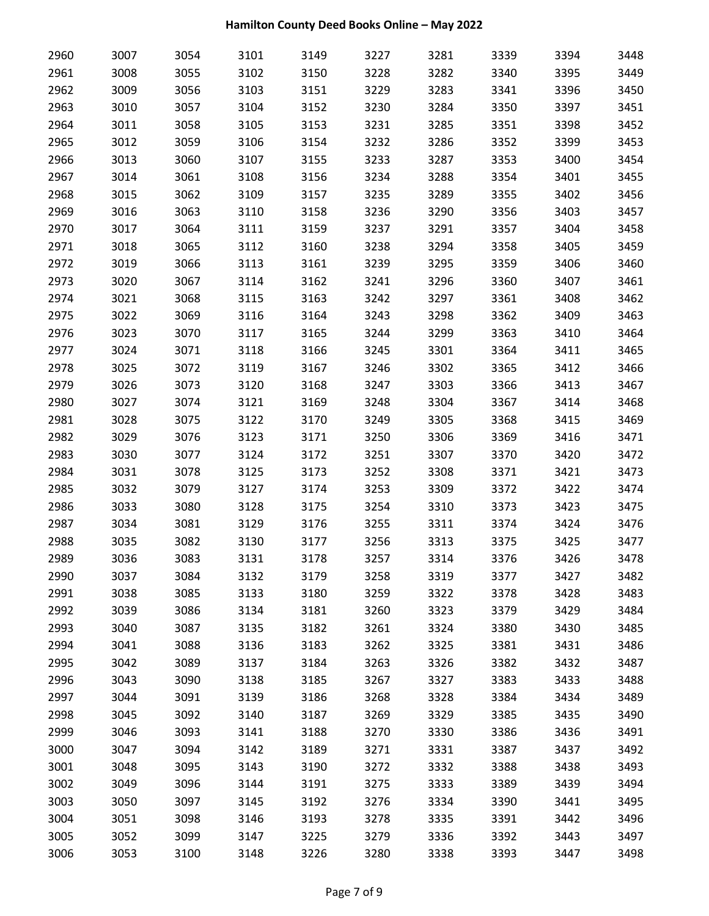| 2960 | 3007 | 3054 | 3101 | 3149 | 3227 | 3281 | 3339 | 3394 | 3448 |
|------|------|------|------|------|------|------|------|------|------|
| 2961 | 3008 | 3055 | 3102 | 3150 | 3228 | 3282 | 3340 | 3395 | 3449 |
| 2962 | 3009 | 3056 | 3103 | 3151 | 3229 | 3283 | 3341 | 3396 | 3450 |
| 2963 | 3010 | 3057 | 3104 | 3152 | 3230 | 3284 | 3350 | 3397 | 3451 |
| 2964 | 3011 | 3058 | 3105 | 3153 | 3231 | 3285 | 3351 | 3398 | 3452 |
| 2965 | 3012 | 3059 | 3106 | 3154 | 3232 | 3286 | 3352 | 3399 | 3453 |
| 2966 | 3013 | 3060 | 3107 | 3155 | 3233 | 3287 | 3353 | 3400 | 3454 |
| 2967 | 3014 | 3061 | 3108 | 3156 | 3234 | 3288 | 3354 | 3401 | 3455 |
| 2968 | 3015 | 3062 | 3109 | 3157 | 3235 | 3289 | 3355 | 3402 | 3456 |
| 2969 | 3016 | 3063 | 3110 | 3158 | 3236 | 3290 | 3356 | 3403 | 3457 |
| 2970 | 3017 | 3064 | 3111 | 3159 | 3237 | 3291 | 3357 | 3404 | 3458 |
| 2971 | 3018 | 3065 | 3112 | 3160 | 3238 | 3294 | 3358 | 3405 | 3459 |
| 2972 | 3019 | 3066 | 3113 | 3161 | 3239 | 3295 | 3359 | 3406 | 3460 |
| 2973 | 3020 | 3067 | 3114 | 3162 | 3241 | 3296 | 3360 | 3407 | 3461 |
| 2974 | 3021 | 3068 | 3115 | 3163 | 3242 | 3297 | 3361 | 3408 | 3462 |
| 2975 | 3022 | 3069 | 3116 | 3164 | 3243 | 3298 | 3362 | 3409 | 3463 |
| 2976 | 3023 | 3070 | 3117 | 3165 | 3244 | 3299 | 3363 | 3410 | 3464 |
| 2977 | 3024 | 3071 | 3118 | 3166 | 3245 | 3301 | 3364 | 3411 | 3465 |
| 2978 | 3025 | 3072 | 3119 | 3167 | 3246 | 3302 | 3365 | 3412 | 3466 |
| 2979 | 3026 | 3073 | 3120 | 3168 | 3247 | 3303 | 3366 | 3413 | 3467 |
| 2980 | 3027 | 3074 | 3121 | 3169 | 3248 | 3304 | 3367 | 3414 | 3468 |
| 2981 | 3028 | 3075 | 3122 | 3170 | 3249 | 3305 | 3368 | 3415 | 3469 |
| 2982 | 3029 | 3076 | 3123 | 3171 | 3250 | 3306 | 3369 | 3416 | 3471 |
| 2983 | 3030 | 3077 | 3124 | 3172 | 3251 | 3307 | 3370 | 3420 | 3472 |
| 2984 | 3031 | 3078 | 3125 | 3173 | 3252 | 3308 | 3371 | 3421 | 3473 |
| 2985 | 3032 | 3079 | 3127 | 3174 | 3253 | 3309 | 3372 | 3422 | 3474 |
| 2986 | 3033 | 3080 | 3128 | 3175 | 3254 | 3310 | 3373 | 3423 | 3475 |
| 2987 | 3034 | 3081 | 3129 | 3176 | 3255 | 3311 | 3374 | 3424 | 3476 |
| 2988 | 3035 | 3082 | 3130 | 3177 | 3256 | 3313 | 3375 | 3425 | 3477 |
| 2989 | 3036 | 3083 | 3131 | 3178 | 3257 | 3314 | 3376 | 3426 | 3478 |
| 2990 | 3037 | 3084 | 3132 | 3179 | 3258 | 3319 | 3377 | 3427 | 3482 |
| 2991 | 3038 | 3085 | 3133 | 3180 | 3259 | 3322 | 3378 | 3428 | 3483 |
| 2992 | 3039 | 3086 | 3134 | 3181 | 3260 | 3323 | 3379 | 3429 | 3484 |
| 2993 | 3040 | 3087 | 3135 | 3182 | 3261 | 3324 | 3380 | 3430 | 3485 |
| 2994 | 3041 | 3088 | 3136 | 3183 | 3262 | 3325 | 3381 | 3431 | 3486 |
| 2995 | 3042 | 3089 | 3137 | 3184 | 3263 | 3326 | 3382 | 3432 | 3487 |
| 2996 | 3043 | 3090 | 3138 | 3185 | 3267 | 3327 | 3383 | 3433 | 3488 |
| 2997 | 3044 | 3091 | 3139 | 3186 | 3268 | 3328 | 3384 | 3434 | 3489 |
| 2998 | 3045 | 3092 | 3140 | 3187 | 3269 | 3329 | 3385 | 3435 | 3490 |
| 2999 | 3046 | 3093 | 3141 | 3188 | 3270 | 3330 | 3386 | 3436 | 3491 |
| 3000 | 3047 | 3094 | 3142 | 3189 | 3271 | 3331 | 3387 | 3437 | 3492 |
| 3001 | 3048 | 3095 | 3143 | 3190 | 3272 | 3332 | 3388 | 3438 | 3493 |
| 3002 | 3049 | 3096 | 3144 | 3191 | 3275 | 3333 | 3389 | 3439 | 3494 |
| 3003 | 3050 | 3097 | 3145 | 3192 | 3276 | 3334 | 3390 | 3441 | 3495 |
| 3004 | 3051 | 3098 | 3146 | 3193 | 3278 | 3335 | 3391 | 3442 | 3496 |
| 3005 | 3052 | 3099 | 3147 | 3225 | 3279 | 3336 | 3392 | 3443 | 3497 |
| 3006 | 3053 | 3100 | 3148 | 3226 | 3280 | 3338 | 3393 | 3447 | 3498 |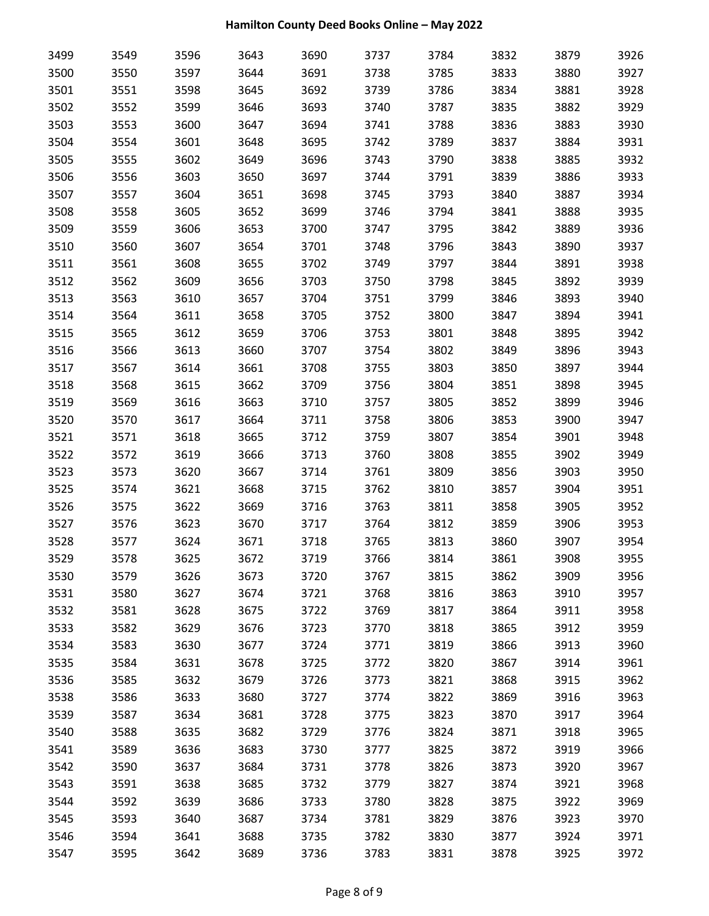| 3499 | 3549 | 3596 | 3643 | 3690 | 3737 | 3784 | 3832 | 3879 | 3926 |
|------|------|------|------|------|------|------|------|------|------|
| 3500 | 3550 | 3597 | 3644 | 3691 | 3738 | 3785 | 3833 | 3880 | 3927 |
| 3501 | 3551 | 3598 | 3645 | 3692 | 3739 | 3786 | 3834 | 3881 | 3928 |
| 3502 | 3552 | 3599 | 3646 | 3693 | 3740 | 3787 | 3835 | 3882 | 3929 |
| 3503 | 3553 | 3600 | 3647 | 3694 | 3741 | 3788 | 3836 | 3883 | 3930 |
| 3504 | 3554 | 3601 | 3648 | 3695 | 3742 | 3789 | 3837 | 3884 | 3931 |
| 3505 | 3555 | 3602 | 3649 | 3696 | 3743 | 3790 | 3838 | 3885 | 3932 |
| 3506 | 3556 | 3603 | 3650 | 3697 | 3744 | 3791 | 3839 | 3886 | 3933 |
| 3507 | 3557 | 3604 | 3651 | 3698 | 3745 | 3793 | 3840 | 3887 | 3934 |
| 3508 | 3558 | 3605 | 3652 | 3699 | 3746 | 3794 | 3841 | 3888 | 3935 |
| 3509 | 3559 | 3606 | 3653 | 3700 | 3747 | 3795 | 3842 | 3889 | 3936 |
| 3510 | 3560 | 3607 | 3654 | 3701 | 3748 | 3796 | 3843 | 3890 | 3937 |
| 3511 | 3561 | 3608 | 3655 | 3702 | 3749 | 3797 | 3844 | 3891 | 3938 |
| 3512 | 3562 | 3609 | 3656 | 3703 | 3750 | 3798 | 3845 | 3892 | 3939 |
| 3513 | 3563 | 3610 | 3657 | 3704 | 3751 | 3799 | 3846 | 3893 | 3940 |
| 3514 | 3564 | 3611 | 3658 | 3705 | 3752 | 3800 | 3847 | 3894 | 3941 |
| 3515 | 3565 | 3612 | 3659 | 3706 | 3753 | 3801 | 3848 | 3895 | 3942 |
| 3516 | 3566 | 3613 | 3660 | 3707 | 3754 | 3802 | 3849 | 3896 | 3943 |
| 3517 | 3567 | 3614 | 3661 | 3708 | 3755 | 3803 | 3850 | 3897 | 3944 |
| 3518 | 3568 | 3615 | 3662 | 3709 | 3756 | 3804 | 3851 | 3898 | 3945 |
| 3519 | 3569 | 3616 | 3663 | 3710 | 3757 | 3805 | 3852 | 3899 | 3946 |
| 3520 | 3570 | 3617 | 3664 | 3711 | 3758 | 3806 | 3853 | 3900 | 3947 |
| 3521 | 3571 | 3618 | 3665 | 3712 | 3759 | 3807 | 3854 | 3901 | 3948 |
| 3522 | 3572 | 3619 | 3666 | 3713 | 3760 | 3808 | 3855 | 3902 | 3949 |
| 3523 | 3573 | 3620 | 3667 | 3714 | 3761 | 3809 | 3856 | 3903 | 3950 |
| 3525 | 3574 | 3621 | 3668 | 3715 | 3762 | 3810 | 3857 | 3904 | 3951 |
| 3526 | 3575 | 3622 | 3669 | 3716 | 3763 | 3811 | 3858 | 3905 | 3952 |
| 3527 | 3576 | 3623 | 3670 | 3717 | 3764 | 3812 | 3859 | 3906 | 3953 |
| 3528 | 3577 | 3624 | 3671 | 3718 | 3765 | 3813 | 3860 | 3907 | 3954 |
| 3529 | 3578 | 3625 | 3672 | 3719 | 3766 | 3814 | 3861 | 3908 | 3955 |
| 3530 | 3579 | 3626 | 3673 | 3720 | 3767 | 3815 | 3862 | 3909 | 3956 |
| 3531 | 3580 | 3627 | 3674 | 3721 | 3768 | 3816 | 3863 | 3910 | 3957 |
| 3532 | 3581 | 3628 | 3675 | 3722 | 3769 | 3817 | 3864 | 3911 | 3958 |
| 3533 | 3582 | 3629 | 3676 | 3723 | 3770 | 3818 | 3865 | 3912 | 3959 |
| 3534 | 3583 | 3630 | 3677 | 3724 | 3771 | 3819 | 3866 | 3913 | 3960 |
| 3535 | 3584 | 3631 | 3678 | 3725 | 3772 | 3820 | 3867 | 3914 | 3961 |
| 3536 | 3585 | 3632 | 3679 | 3726 | 3773 | 3821 | 3868 | 3915 | 3962 |
| 3538 | 3586 | 3633 | 3680 | 3727 | 3774 | 3822 | 3869 | 3916 | 3963 |
| 3539 | 3587 | 3634 | 3681 | 3728 | 3775 | 3823 | 3870 | 3917 | 3964 |
| 3540 | 3588 | 3635 | 3682 | 3729 | 3776 | 3824 | 3871 | 3918 | 3965 |
| 3541 | 3589 | 3636 | 3683 | 3730 | 3777 | 3825 | 3872 | 3919 | 3966 |
| 3542 | 3590 | 3637 | 3684 | 3731 | 3778 | 3826 | 3873 | 3920 | 3967 |
| 3543 | 3591 | 3638 | 3685 | 3732 | 3779 | 3827 | 3874 | 3921 | 3968 |
| 3544 | 3592 | 3639 | 3686 | 3733 | 3780 | 3828 | 3875 | 3922 | 3969 |
| 3545 | 3593 | 3640 | 3687 | 3734 | 3781 | 3829 | 3876 | 3923 | 3970 |
| 3546 | 3594 | 3641 | 3688 | 3735 | 3782 | 3830 | 3877 | 3924 | 3971 |
| 3547 | 3595 | 3642 | 3689 | 3736 | 3783 | 3831 | 3878 | 3925 | 3972 |